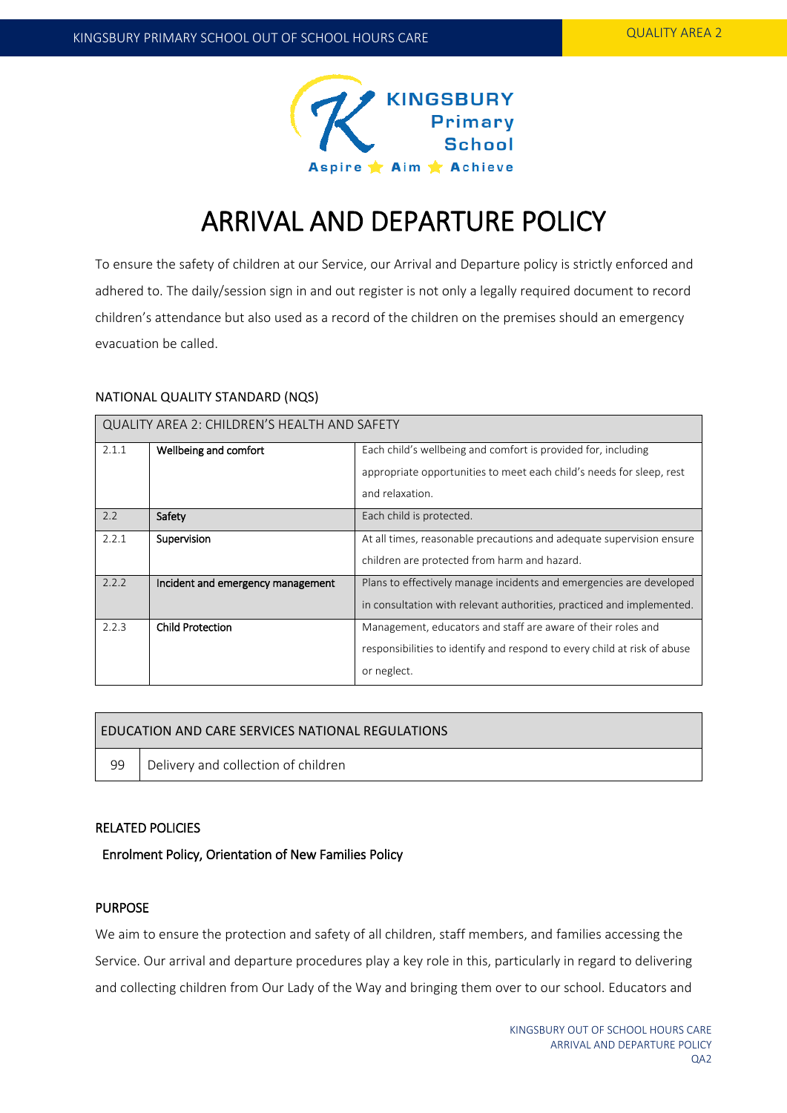

# ARRIVAL AND DEPARTURE POLICY

To ensure the safety of children at our Service, our Arrival and Departure policy is strictly enforced and adhered to. The daily/session sign in and out register is not only a legally required document to record children's attendance but also used as a record of the children on the premises should an emergency evacuation be called.

#### NATIONAL QUALITY STANDARD (NQS)

| QUALITY AREA 2: CHILDREN'S HEALTH AND SAFETY |                                   |                                                                          |  |  |
|----------------------------------------------|-----------------------------------|--------------------------------------------------------------------------|--|--|
| 2.1.1                                        | Wellbeing and comfort             | Each child's wellbeing and comfort is provided for, including            |  |  |
|                                              |                                   | appropriate opportunities to meet each child's needs for sleep, rest     |  |  |
|                                              |                                   | and relaxation.                                                          |  |  |
| 2.2                                          | Safety                            | Each child is protected.                                                 |  |  |
| 2.2.1                                        | Supervision                       | At all times, reasonable precautions and adequate supervision ensure     |  |  |
|                                              |                                   | children are protected from harm and hazard.                             |  |  |
| 2.2.2                                        | Incident and emergency management | Plans to effectively manage incidents and emergencies are developed      |  |  |
|                                              |                                   | in consultation with relevant authorities, practiced and implemented.    |  |  |
| 2.2.3                                        | <b>Child Protection</b>           | Management, educators and staff are aware of their roles and             |  |  |
|                                              |                                   | responsibilities to identify and respond to every child at risk of abuse |  |  |
|                                              |                                   | or neglect.                                                              |  |  |

## EDUCATION AND CARE SERVICES NATIONAL REGULATIONS

 $\blacksquare$ 

99 | Delivery and collection of children

# RELATED POLICIES

# Enrolment Policy, Orientation of New Families Policy

# PURPOSE

We aim to ensure the protection and safety of all children, staff members, and families accessing the Service. Our arrival and departure procedures play a key role in this, particularly in regard to delivering and collecting children from Our Lady of the Way and bringing them over to our school. Educators and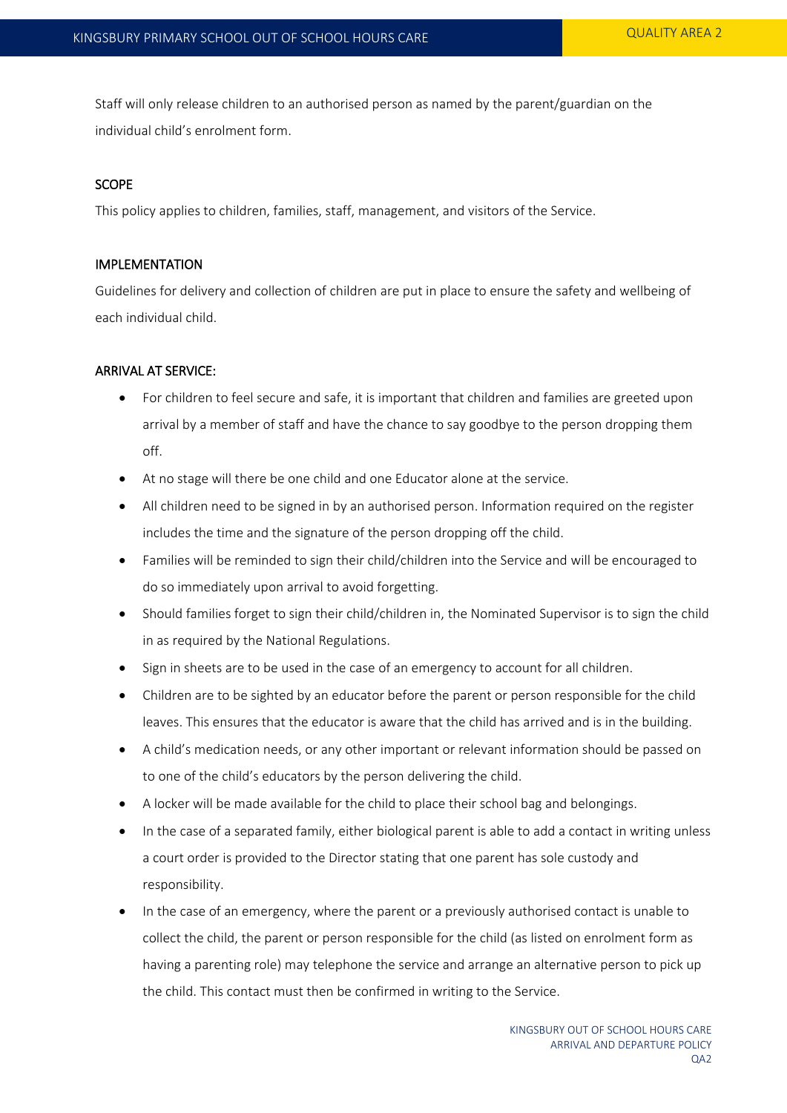Staff will only release children to an authorised person as named by the parent/guardian on the individual child's enrolment form.

#### SCOPE

This policy applies to children, families, staff, management, and visitors of the Service.

#### IMPLEMENTATION

Guidelines for delivery and collection of children are put in place to ensure the safety and wellbeing of each individual child.

#### ARRIVAL AT SERVICE:

- For children to feel secure and safe, it is important that children and families are greeted upon arrival by a member of staff and have the chance to say goodbye to the person dropping them off.
- At no stage will there be one child and one Educator alone at the service.
- All children need to be signed in by an authorised person. Information required on the register includes the time and the signature of the person dropping off the child.
- Families will be reminded to sign their child/children into the Service and will be encouraged to do so immediately upon arrival to avoid forgetting.
- Should families forget to sign their child/children in, the Nominated Supervisor is to sign the child in as required by the National Regulations.
- Sign in sheets are to be used in the case of an emergency to account for all children.
- Children are to be sighted by an educator before the parent or person responsible for the child leaves. This ensures that the educator is aware that the child has arrived and is in the building.
- A child's medication needs, or any other important or relevant information should be passed on to one of the child's educators by the person delivering the child.
- A locker will be made available for the child to place their school bag and belongings.
- In the case of a separated family, either biological parent is able to add a contact in writing unless a court order is provided to the Director stating that one parent has sole custody and responsibility.
- In the case of an emergency, where the parent or a previously authorised contact is unable to collect the child, the parent or person responsible for the child (as listed on enrolment form as having a parenting role) may telephone the service and arrange an alternative person to pick up the child. This contact must then be confirmed in writing to the Service.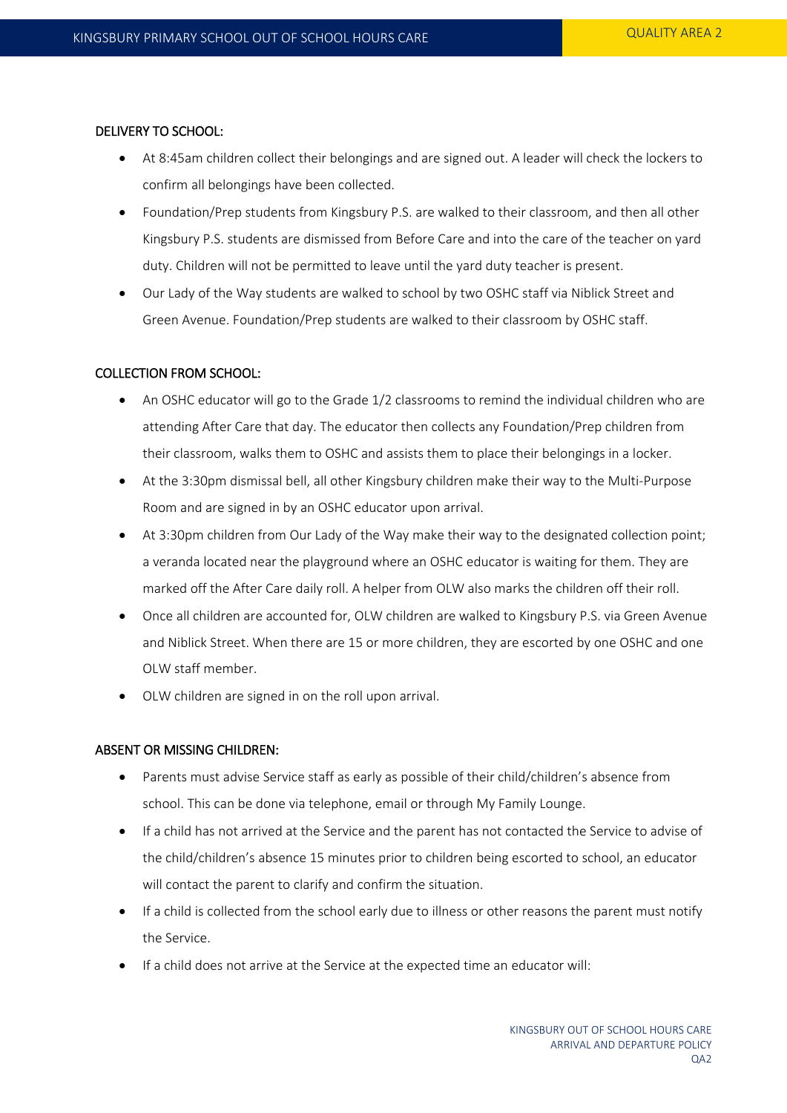#### DELIVERY TO SCHOOL:

- At 8:45am children collect their belongings and are signed out. A leader will check the lockers to confirm all belongings have been collected.
- Foundation/Prep students from Kingsbury P.S. are walked to their classroom, and then all other Kingsbury P.S. students are dismissed from Before Care and into the care of the teacher on yard duty. Children will not be permitted to leave until the yard duty teacher is present.
- Our Lady of the Way students are walked to school by two OSHC staff via Niblick Street and Green Avenue. Foundation/Prep students are walked to their classroom by OSHC staff.

#### COLLECTION FROM SCHOOL:

- An OSHC educator will go to the Grade 1/2 classrooms to remind the individual children who are attending After Care that day. The educator then collects any Foundation/Prep children from their classroom, walks them to OSHC and assists them to place their belongings in a locker.
- At the 3:30pm dismissal bell, all other Kingsbury children make their way to the Multi-Purpose Room and are signed in by an OSHC educator upon arrival.
- At 3:30pm children from Our Lady of the Way make their way to the designated collection point; a veranda located near the playground where an OSHC educator is waiting for them. They are marked off the After Care daily roll. A helper from OLW also marks the children off their roll.
- Once all children are accounted for, OLW children are walked to Kingsbury P.S. via Green Avenue and Niblick Street. When there are 15 or more children, they are escorted by one OSHC and one OLW staff member.
- OLW children are signed in on the roll upon arrival.

## ABSENT OR MISSING CHILDREN:

- Parents must advise Service staff as early as possible of their child/children's absence from school. This can be done via telephone, email or through My Family Lounge.
- If a child has not arrived at the Service and the parent has not contacted the Service to advise of the child/children's absence 15 minutes prior to children being escorted to school, an educator will contact the parent to clarify and confirm the situation.
- If a child is collected from the school early due to illness or other reasons the parent must notify the Service.
- If a child does not arrive at the Service at the expected time an educator will: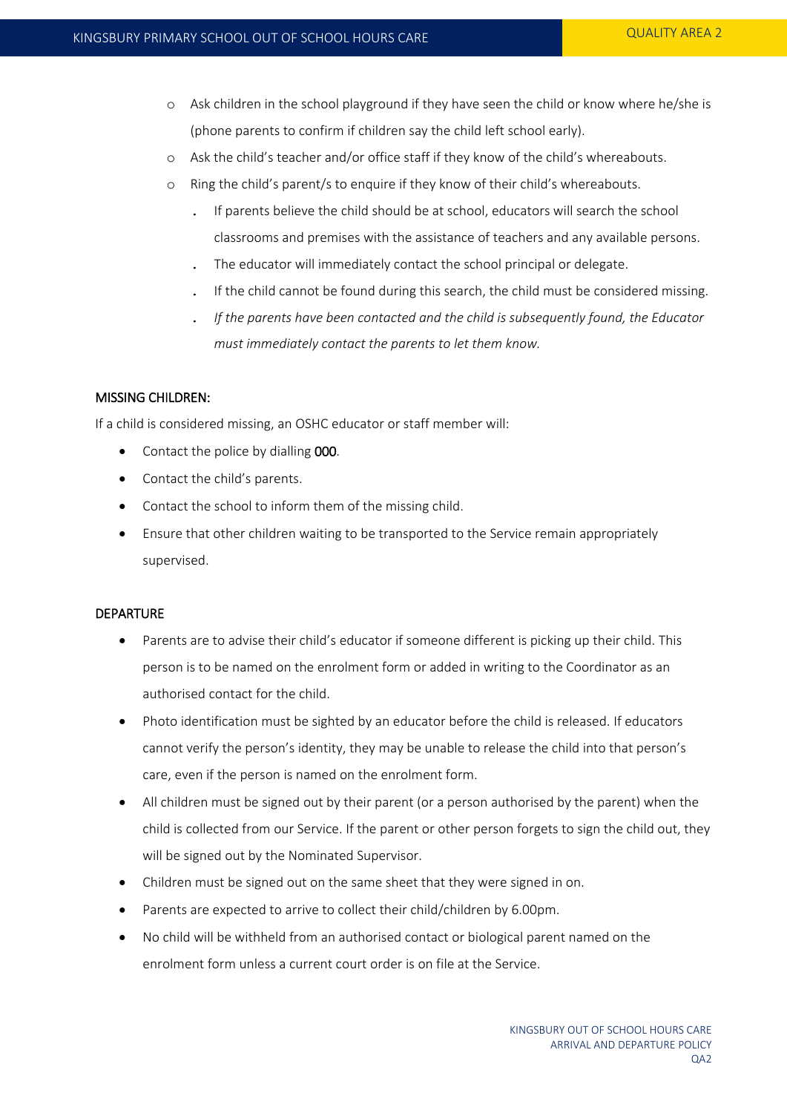- o Ask children in the school playground if they have seen the child or know where he/she is (phone parents to confirm if children say the child left school early).
- o Ask the child's teacher and/or office staff if they know of the child's whereabouts.
- o Ring the child's parent/s to enquire if they know of their child's whereabouts.
	- . If parents believe the child should be at school, educators will search the school classrooms and premises with the assistance of teachers and any available persons.
	- . The educator will immediately contact the school principal or delegate.
	- . If the child cannot be found during this search, the child must be considered missing.
	- . *If the parents have been contacted and the child is subsequently found, the Educator must immediately contact the parents to let them know.*

#### MISSING CHILDREN:

If a child is considered missing, an OSHC educator or staff member will:

- Contact the police by dialling 000.
- Contact the child's parents.
- Contact the school to inform them of the missing child.
- Ensure that other children waiting to be transported to the Service remain appropriately supervised.

## DEPARTURE

- Parents are to advise their child's educator if someone different is picking up their child. This person is to be named on the enrolment form or added in writing to the Coordinator as an authorised contact for the child.
- Photo identification must be sighted by an educator before the child is released. If educators cannot verify the person's identity, they may be unable to release the child into that person's care, even if the person is named on the enrolment form.
- All children must be signed out by their parent (or a person authorised by the parent) when the child is collected from our Service. If the parent or other person forgets to sign the child out, they will be signed out by the Nominated Supervisor.
- Children must be signed out on the same sheet that they were signed in on.
- Parents are expected to arrive to collect their child/children by 6.00pm.
- No child will be withheld from an authorised contact or biological parent named on the enrolment form unless a current court order is on file at the Service.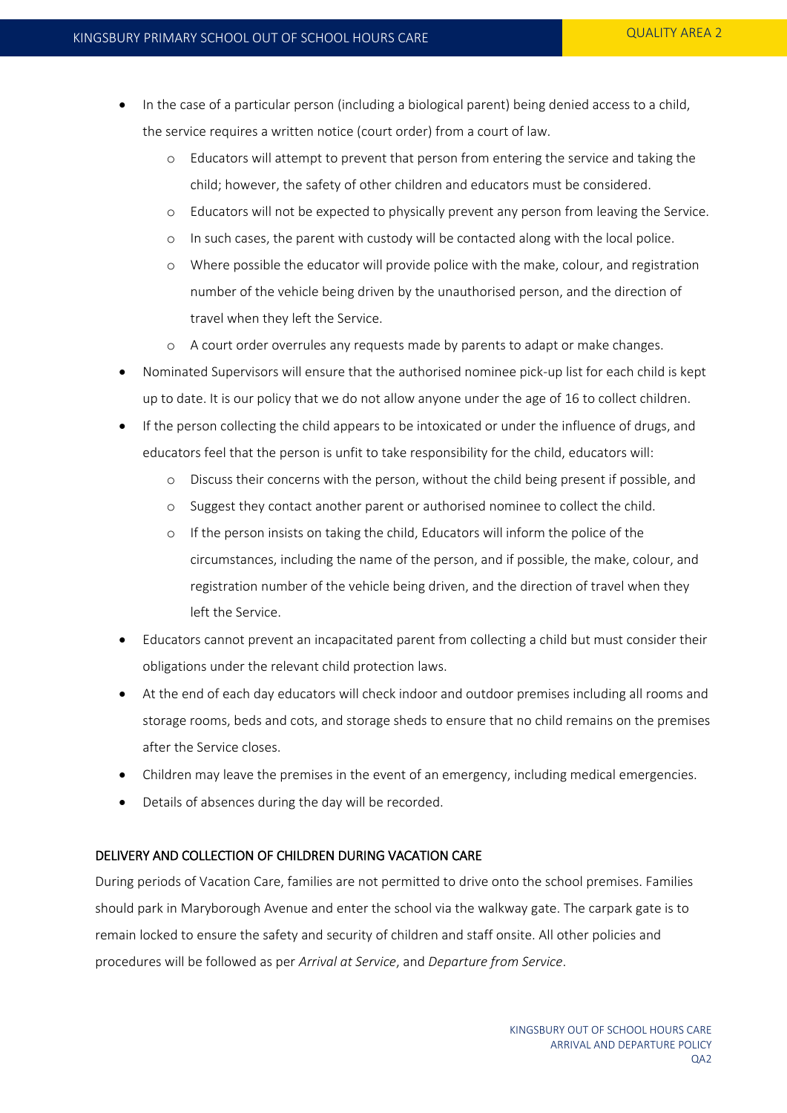- In the case of a particular person (including a biological parent) being denied access to a child, the service requires a written notice (court order) from a court of law.
	- o Educators will attempt to prevent that person from entering the service and taking the child; however, the safety of other children and educators must be considered.
	- o Educators will not be expected to physically prevent any person from leaving the Service.
	- o In such cases, the parent with custody will be contacted along with the local police.
	- o Where possible the educator will provide police with the make, colour, and registration number of the vehicle being driven by the unauthorised person, and the direction of travel when they left the Service.
	- o A court order overrules any requests made by parents to adapt or make changes.
- Nominated Supervisors will ensure that the authorised nominee pick-up list for each child is kept up to date. It is our policy that we do not allow anyone under the age of 16 to collect children.
- If the person collecting the child appears to be intoxicated or under the influence of drugs, and educators feel that the person is unfit to take responsibility for the child, educators will:
	- o Discuss their concerns with the person, without the child being present if possible, and
	- o Suggest they contact another parent or authorised nominee to collect the child.
	- o If the person insists on taking the child, Educators will inform the police of the circumstances, including the name of the person, and if possible, the make, colour, and registration number of the vehicle being driven, and the direction of travel when they left the Service.
- Educators cannot prevent an incapacitated parent from collecting a child but must consider their obligations under the relevant child protection laws.
- At the end of each day educators will check indoor and outdoor premises including all rooms and storage rooms, beds and cots, and storage sheds to ensure that no child remains on the premises after the Service closes.
- Children may leave the premises in the event of an emergency, including medical emergencies.
- Details of absences during the day will be recorded.

## DELIVERY AND COLLECTION OF CHILDREN DURING VACATION CARE

During periods of Vacation Care, families are not permitted to drive onto the school premises. Families should park in Maryborough Avenue and enter the school via the walkway gate. The carpark gate is to remain locked to ensure the safety and security of children and staff onsite. All other policies and procedures will be followed as per *Arrival at Service*, and *Departure from Service*.